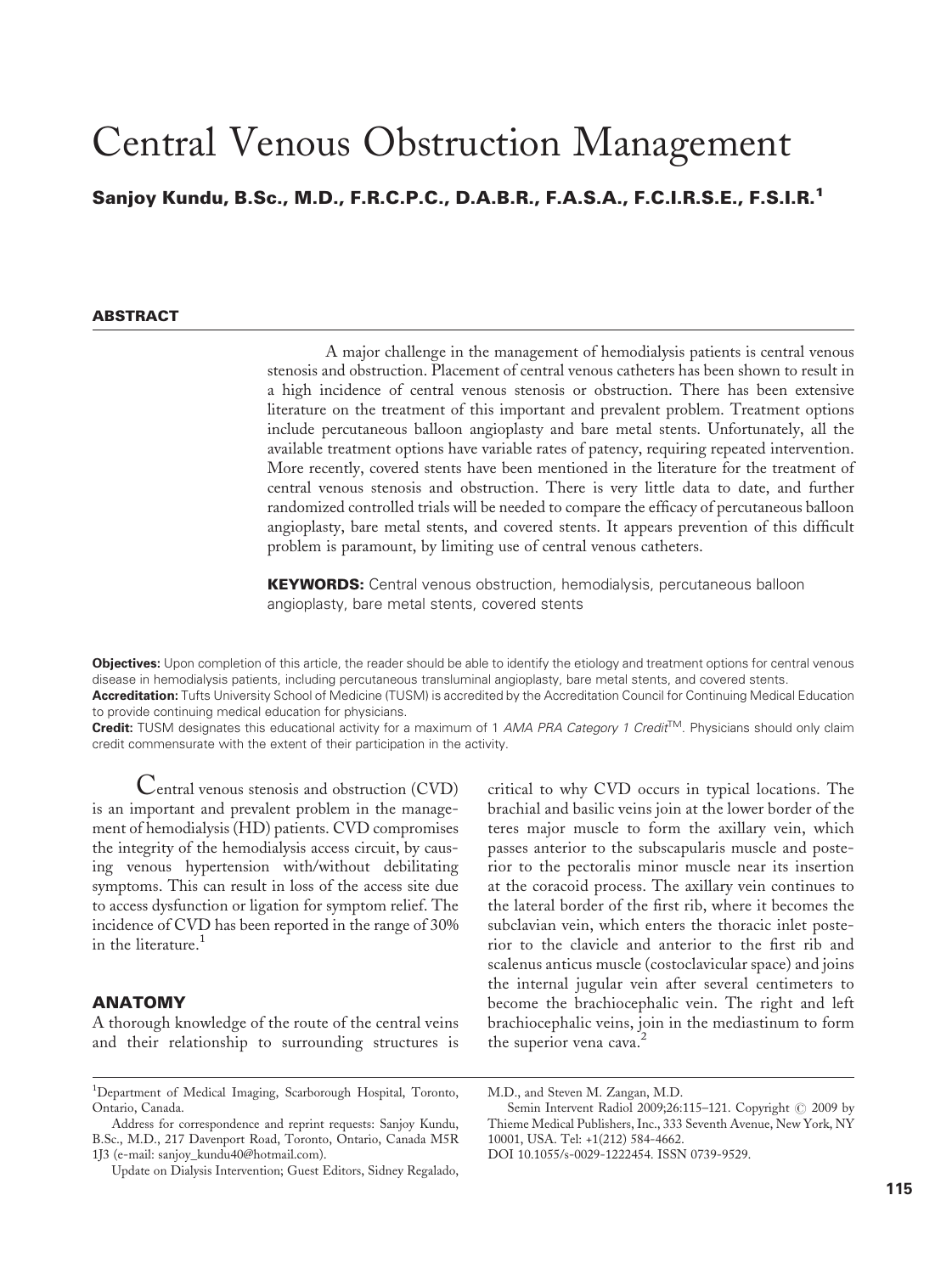# Central Venous Obstruction Management

Sanjoy Kundu, B.Sc., M.D., F.R.C.P.C., D.A.B.R., F.A.S.A., F.C.I.R.S.E., F.S.I.R.<sup>1</sup>

# **ARSTRACT**

A major challenge in the management of hemodialysis patients is central venous stenosis and obstruction. Placement of central venous catheters has been shown to result in a high incidence of central venous stenosis or obstruction. There has been extensive literature on the treatment of this important and prevalent problem. Treatment options include percutaneous balloon angioplasty and bare metal stents. Unfortunately, all the available treatment options have variable rates of patency, requiring repeated intervention. More recently, covered stents have been mentioned in the literature for the treatment of central venous stenosis and obstruction. There is very little data to date, and further randomized controlled trials will be needed to compare the efficacy of percutaneous balloon angioplasty, bare metal stents, and covered stents. It appears prevention of this difficult problem is paramount, by limiting use of central venous catheters.

**KEYWORDS:** Central venous obstruction, hemodialysis, percutaneous balloon angioplasty, bare metal stents, covered stents

Objectives: Upon completion of this article, the reader should be able to identify the etiology and treatment options for central venous disease in hemodialysis patients, including percutaneous transluminal angioplasty, bare metal stents, and covered stents.

Accreditation: Tufts University School of Medicine (TUSM) is accredited by the Accreditation Council for Continuing Medical Education to provide continuing medical education for physicians.

Credit: TUSM designates this educational activity for a maximum of 1 AMA PRA Category 1 Credit<sup>TM</sup>. Physicians should only claim credit commensurate with the extent of their participation in the activity.

Central venous stenosis and obstruction (CVD) is an important and prevalent problem in the management of hemodialysis (HD) patients. CVD compromises the integrity of the hemodialysis access circuit, by causing venous hypertension with/without debilitating symptoms. This can result in loss of the access site due to access dysfunction or ligation for symptom relief. The incidence of CVD has been reported in the range of 30% in the literature  $<sup>1</sup>$ </sup>

# ANATOMY

A thorough knowledge of the route of the central veins and their relationship to surrounding structures is

critical to why CVD occurs in typical locations. The brachial and basilic veins join at the lower border of the teres major muscle to form the axillary vein, which passes anterior to the subscapularis muscle and posterior to the pectoralis minor muscle near its insertion at the coracoid process. The axillary vein continues to the lateral border of the first rib, where it becomes the subclavian vein, which enters the thoracic inlet posterior to the clavicle and anterior to the first rib and scalenus anticus muscle (costoclavicular space) and joins the internal jugular vein after several centimeters to become the brachiocephalic vein. The right and left brachiocephalic veins, join in the mediastinum to form the superior vena cava.<sup>2</sup>

<sup>&</sup>lt;sup>1</sup>Department of Medical Imaging, Scarborough Hospital, Toronto, Ontario, Canada.

Address for correspondence and reprint requests: Sanjoy Kundu, B.Sc., M.D., 217 Davenport Road, Toronto, Ontario, Canada M5R 1J3 (e-mail: sanjoy\_kundu40@hotmail.com).

Update on Dialysis Intervention; Guest Editors, Sidney Regalado,

M.D., and Steven M. Zangan, M.D.

Semin Intervent Radiol 2009;26:115-121. Copyright © 2009 by Thieme Medical Publishers, Inc., 333 Seventh Avenue, New York, NY 10001, USA. Tel: +1(212) 584-4662.

DOI 10.1055/s-0029-1222454. ISSN 0739-9529.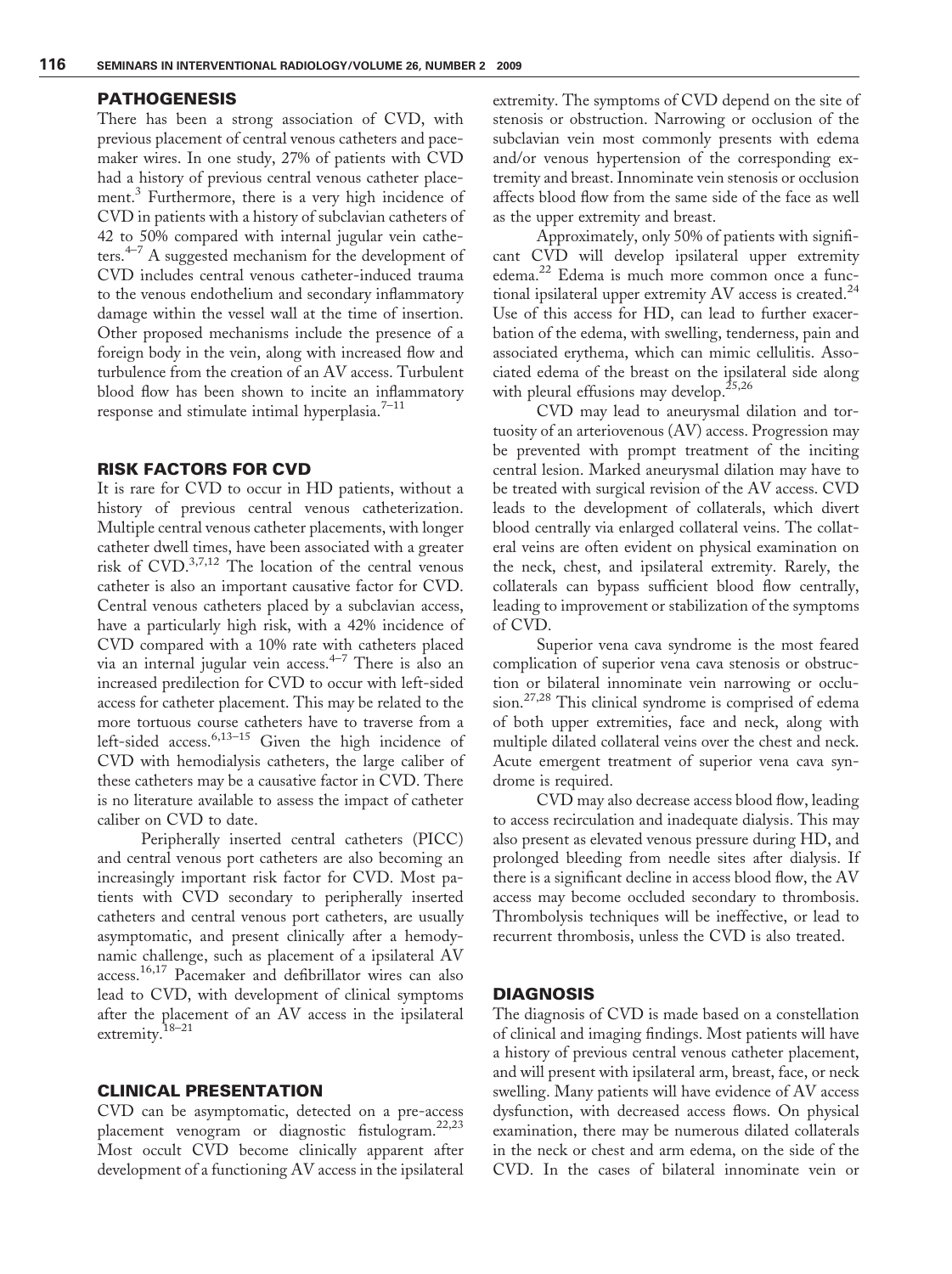## PATHOGENESIS

There has been a strong association of CVD, with previous placement of central venous catheters and pacemaker wires. In one study, 27% of patients with CVD had a history of previous central venous catheter placement.<sup>3</sup> Furthermore, there is a very high incidence of CVD in patients with a history of subclavian catheters of 42 to 50% compared with internal jugular vein catheters.<sup>4–7</sup> A suggested mechanism for the development of CVD includes central venous catheter-induced trauma to the venous endothelium and secondary inflammatory damage within the vessel wall at the time of insertion. Other proposed mechanisms include the presence of a foreign body in the vein, along with increased flow and turbulence from the creation of an AV access. Turbulent blood flow has been shown to incite an inflammatory response and stimulate intimal hyperplasia.<sup>7-11</sup>

# RISK FACTORS FOR CVD

It is rare for CVD to occur in HD patients, without a history of previous central venous catheterization. Multiple central venous catheter placements, with longer catheter dwell times, have been associated with a greater risk of  $CVD$ .<sup>3,7,12</sup> The location of the central venous catheter is also an important causative factor for CVD. Central venous catheters placed by a subclavian access, have a particularly high risk, with a 42% incidence of CVD compared with a 10% rate with catheters placed via an internal jugular vein access.4–7 There is also an increased predilection for CVD to occur with left-sided access for catheter placement. This may be related to the more tortuous course catheters have to traverse from a left-sided access.<sup>6,13–15</sup> Given the high incidence of CVD with hemodialysis catheters, the large caliber of these catheters may be a causative factor in CVD. There is no literature available to assess the impact of catheter caliber on CVD to date.

Peripherally inserted central catheters (PICC) and central venous port catheters are also becoming an increasingly important risk factor for CVD. Most patients with CVD secondary to peripherally inserted catheters and central venous port catheters, are usually asymptomatic, and present clinically after a hemodynamic challenge, such as placement of a ipsilateral AV access.16,17 Pacemaker and defibrillator wires can also lead to CVD, with development of clinical symptoms after the placement of an AV access in the ipsilateral extremity.18–21

#### CLINICAL PRESENTATION

CVD can be asymptomatic, detected on a pre-access placement venogram or diagnostic fistulogram.<sup>22,23</sup> Most occult CVD become clinically apparent after development of a functioning AV access in the ipsilateral

extremity. The symptoms of CVD depend on the site of stenosis or obstruction. Narrowing or occlusion of the subclavian vein most commonly presents with edema and/or venous hypertension of the corresponding extremity and breast. Innominate vein stenosis or occlusion affects blood flow from the same side of the face as well as the upper extremity and breast.

Approximately, only 50% of patients with significant CVD will develop ipsilateral upper extremity edema.<sup>22</sup> Edema is much more common once a functional ipsilateral upper extremity AV access is created.<sup>24</sup> Use of this access for HD, can lead to further exacerbation of the edema, with swelling, tenderness, pain and associated erythema, which can mimic cellulitis. Associated edema of the breast on the ipsilateral side along with pleural effusions may develop.<sup>25,26</sup>

CVD may lead to aneurysmal dilation and tortuosity of an arteriovenous (AV) access. Progression may be prevented with prompt treatment of the inciting central lesion. Marked aneurysmal dilation may have to be treated with surgical revision of the AV access. CVD leads to the development of collaterals, which divert blood centrally via enlarged collateral veins. The collateral veins are often evident on physical examination on the neck, chest, and ipsilateral extremity. Rarely, the collaterals can bypass sufficient blood flow centrally, leading to improvement or stabilization of the symptoms of CVD.

Superior vena cava syndrome is the most feared complication of superior vena cava stenosis or obstruction or bilateral innominate vein narrowing or occlusion.27,28 This clinical syndrome is comprised of edema of both upper extremities, face and neck, along with multiple dilated collateral veins over the chest and neck. Acute emergent treatment of superior vena cava syndrome is required.

CVD may also decrease access blood flow, leading to access recirculation and inadequate dialysis. This may also present as elevated venous pressure during HD, and prolonged bleeding from needle sites after dialysis. If there is a significant decline in access blood flow, the AV access may become occluded secondary to thrombosis. Thrombolysis techniques will be ineffective, or lead to recurrent thrombosis, unless the CVD is also treated.

## **DIAGNOSIS**

The diagnosis of CVD is made based on a constellation of clinical and imaging findings. Most patients will have a history of previous central venous catheter placement, and will present with ipsilateral arm, breast, face, or neck swelling. Many patients will have evidence of AV access dysfunction, with decreased access flows. On physical examination, there may be numerous dilated collaterals in the neck or chest and arm edema, on the side of the CVD. In the cases of bilateral innominate vein or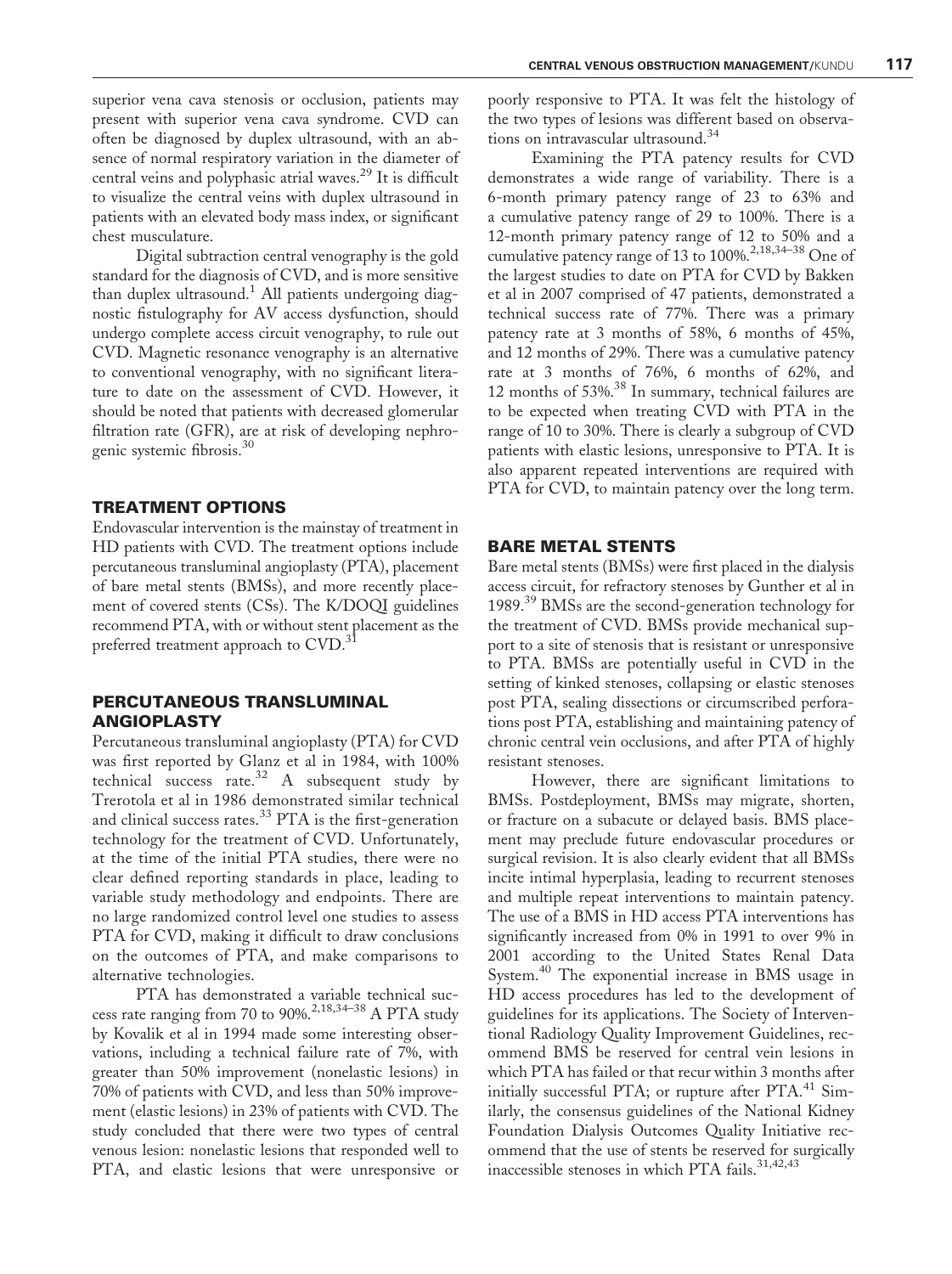superior vena cava stenosis or occlusion, patients may present with superior vena cava syndrome. CVD can often be diagnosed by duplex ultrasound, with an absence of normal respiratory variation in the diameter of central veins and polyphasic atrial waves.<sup>29</sup> It is difficult to visualize the central veins with duplex ultrasound in patients with an elevated body mass index, or significant chest musculature.

Digital subtraction central venography is the gold standard for the diagnosis of CVD, and is more sensitive than duplex ultrasound.<sup>1</sup> All patients undergoing diagnostic fistulography for AV access dysfunction, should undergo complete access circuit venography, to rule out CVD. Magnetic resonance venography is an alternative to conventional venography, with no significant literature to date on the assessment of CVD. However, it should be noted that patients with decreased glomerular filtration rate (GFR), are at risk of developing nephrogenic systemic fibrosis.<sup>30</sup>

#### TREATMENT OPTIONS

Endovascular intervention is the mainstay of treatment in HD patients with CVD. The treatment options include percutaneous transluminal angioplasty (PTA), placement of bare metal stents (BMSs), and more recently placement of covered stents (CSs). The K/DOQI guidelines recommend PTA, with or without stent placement as the preferred treatment approach to CVD.<sup>31</sup>

# PERCUTANEOUS TRANSLUMINAL ANGIOPLASTY

Percutaneous transluminal angioplasty (PTA) for CVD was first reported by Glanz et al in 1984, with 100% technical success rate.<sup>32</sup> A subsequent study by Trerotola et al in 1986 demonstrated similar technical and clinical success rates.<sup>33</sup> PTA is the first-generation technology for the treatment of CVD. Unfortunately, at the time of the initial PTA studies, there were no clear defined reporting standards in place, leading to variable study methodology and endpoints. There are no large randomized control level one studies to assess PTA for CVD, making it difficult to draw conclusions on the outcomes of PTA, and make comparisons to alternative technologies.

PTA has demonstrated a variable technical success rate ranging from 70 to 90%.2,18,34–38 A PTA study by Kovalik et al in 1994 made some interesting observations, including a technical failure rate of 7%, with greater than 50% improvement (nonelastic lesions) in 70% of patients with CVD, and less than 50% improvement (elastic lesions) in 23% of patients with CVD. The study concluded that there were two types of central venous lesion: nonelastic lesions that responded well to PTA, and elastic lesions that were unresponsive or

poorly responsive to PTA. It was felt the histology of the two types of lesions was different based on observations on intravascular ultrasound.<sup>34</sup>

Examining the PTA patency results for CVD demonstrates a wide range of variability. There is a 6-month primary patency range of 23 to 63% and a cumulative patency range of 29 to 100%. There is a 12-month primary patency range of 12 to 50% and a cumulative patency range of 13 to 100%.<sup>2,18,34–38</sup> One of the largest studies to date on PTA for CVD by Bakken et al in 2007 comprised of 47 patients, demonstrated a technical success rate of 77%. There was a primary patency rate at 3 months of 58%, 6 months of 45%, and 12 months of 29%. There was a cumulative patency rate at 3 months of 76%, 6 months of 62%, and 12 months of 53%.<sup>38</sup> In summary, technical failures are to be expected when treating CVD with PTA in the range of 10 to 30%. There is clearly a subgroup of CVD patients with elastic lesions, unresponsive to PTA. It is also apparent repeated interventions are required with PTA for CVD, to maintain patency over the long term.

#### BARE METAL STENTS

Bare metal stents (BMSs) were first placed in the dialysis access circuit, for refractory stenoses by Gunther et al in 1989.<sup>39</sup> BMSs are the second-generation technology for the treatment of CVD. BMSs provide mechanical support to a site of stenosis that is resistant or unresponsive to PTA. BMSs are potentially useful in CVD in the setting of kinked stenoses, collapsing or elastic stenoses post PTA, sealing dissections or circumscribed perforations post PTA, establishing and maintaining patency of chronic central vein occlusions, and after PTA of highly resistant stenoses.

However, there are significant limitations to BMSs. Postdeployment, BMSs may migrate, shorten, or fracture on a subacute or delayed basis. BMS placement may preclude future endovascular procedures or surgical revision. It is also clearly evident that all BMSs incite intimal hyperplasia, leading to recurrent stenoses and multiple repeat interventions to maintain patency. The use of a BMS in HD access PTA interventions has significantly increased from 0% in 1991 to over 9% in 2001 according to the United States Renal Data System.<sup>40</sup> The exponential increase in BMS usage in HD access procedures has led to the development of guidelines for its applications. The Society of Interventional Radiology Quality Improvement Guidelines, recommend BMS be reserved for central vein lesions in which PTA has failed or that recur within 3 months after initially successful PTA; or rupture after PTA.<sup>41</sup> Similarly, the consensus guidelines of the National Kidney Foundation Dialysis Outcomes Quality Initiative recommend that the use of stents be reserved for surgically inaccessible stenoses in which PTA fails.<sup>31,42,43</sup>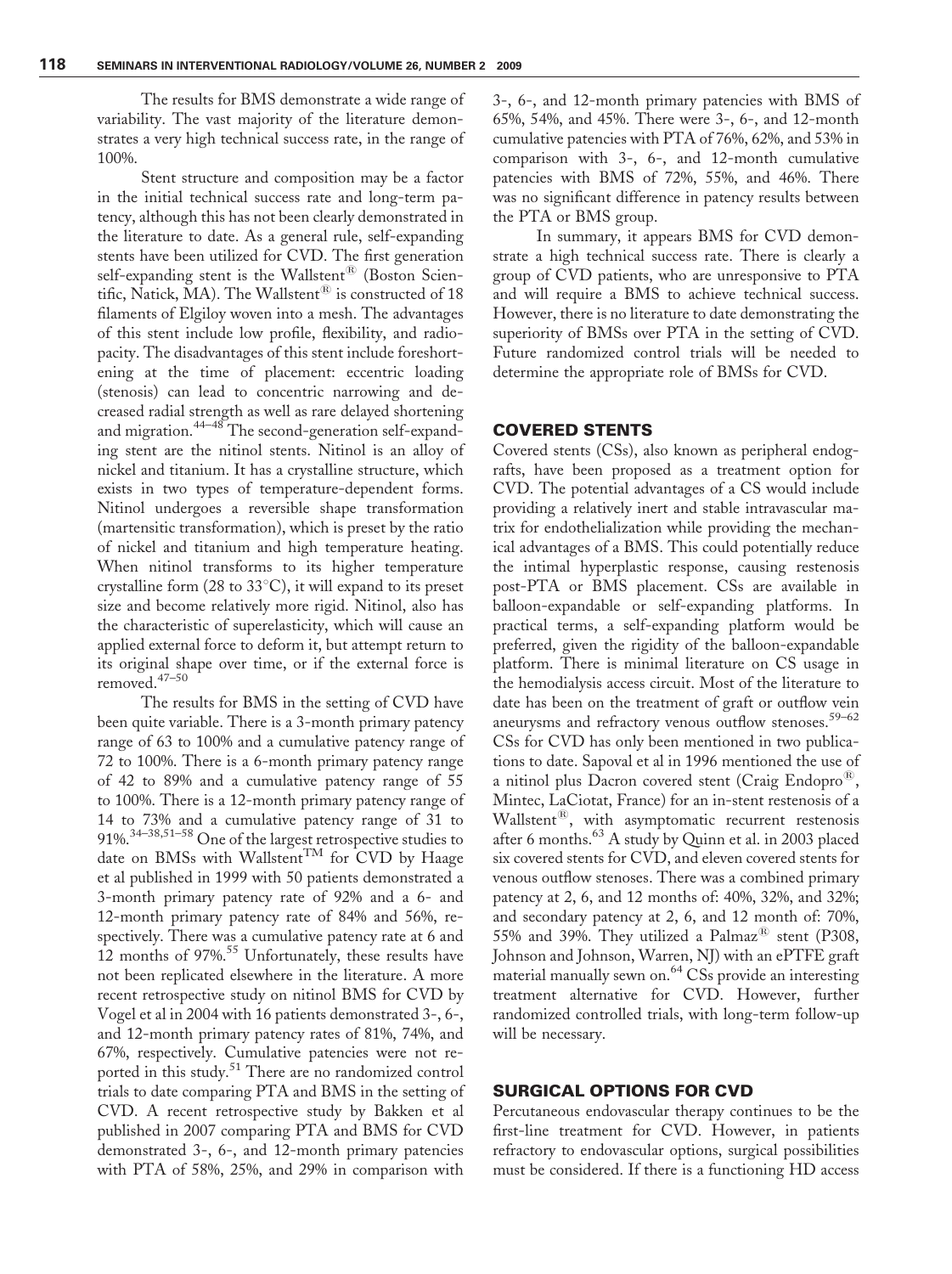The results for BMS demonstrate a wide range of variability. The vast majority of the literature demonstrates a very high technical success rate, in the range of 100%.

Stent structure and composition may be a factor in the initial technical success rate and long-term patency, although this has not been clearly demonstrated in the literature to date. As a general rule, self-expanding stents have been utilized for CVD. The first generation self-expanding stent is the Wallstent<sup>®</sup> (Boston Scientific, Natick, MA). The Wallstent ${}^{\circledR}$  is constructed of 18 filaments of Elgiloy woven into a mesh. The advantages of this stent include low profile, flexibility, and radiopacity. The disadvantages of this stent include foreshortening at the time of placement: eccentric loading (stenosis) can lead to concentric narrowing and decreased radial strength as well as rare delayed shortening and migration.44–48 The second-generation self-expanding stent are the nitinol stents. Nitinol is an alloy of nickel and titanium. It has a crystalline structure, which exists in two types of temperature-dependent forms. Nitinol undergoes a reversible shape transformation (martensitic transformation), which is preset by the ratio of nickel and titanium and high temperature heating. When nitinol transforms to its higher temperature crystalline form (28 to  $33^{\circ}$ C), it will expand to its preset size and become relatively more rigid. Nitinol, also has the characteristic of superelasticity, which will cause an applied external force to deform it, but attempt return to its original shape over time, or if the external force is removed.47–50

The results for BMS in the setting of CVD have been quite variable. There is a 3-month primary patency range of 63 to 100% and a cumulative patency range of 72 to 100%. There is a 6-month primary patency range of 42 to 89% and a cumulative patency range of 55 to 100%. There is a 12-month primary patency range of 14 to 73% and a cumulative patency range of 31 to 91%.34–38,51–58 One of the largest retrospective studies to date on BMSs with Wallstent<sup>TM</sup> for CVD by Haage et al published in 1999 with 50 patients demonstrated a 3-month primary patency rate of 92% and a 6- and 12-month primary patency rate of 84% and 56%, respectively. There was a cumulative patency rate at 6 and 12 months of 97%.<sup>55</sup> Unfortunately, these results have not been replicated elsewhere in the literature. A more recent retrospective study on nitinol BMS for CVD by Vogel et al in 2004 with 16 patients demonstrated 3-, 6-, and 12-month primary patency rates of 81%, 74%, and 67%, respectively. Cumulative patencies were not reported in this study.<sup>51</sup> There are no randomized control trials to date comparing PTA and BMS in the setting of CVD. A recent retrospective study by Bakken et al published in 2007 comparing PTA and BMS for CVD demonstrated 3-, 6-, and 12-month primary patencies with PTA of 58%, 25%, and 29% in comparison with

3-, 6-, and 12-month primary patencies with BMS of 65%, 54%, and 45%. There were 3-, 6-, and 12-month cumulative patencies with PTA of 76%, 62%, and 53% in comparison with 3-, 6-, and 12-month cumulative patencies with BMS of 72%, 55%, and 46%. There was no significant difference in patency results between the PTA or BMS group.

In summary, it appears BMS for CVD demonstrate a high technical success rate. There is clearly a group of CVD patients, who are unresponsive to PTA and will require a BMS to achieve technical success. However, there is no literature to date demonstrating the superiority of BMSs over PTA in the setting of CVD. Future randomized control trials will be needed to determine the appropriate role of BMSs for CVD.

## COVERED STENTS

Covered stents (CSs), also known as peripheral endografts, have been proposed as a treatment option for CVD. The potential advantages of a CS would include providing a relatively inert and stable intravascular matrix for endothelialization while providing the mechanical advantages of a BMS. This could potentially reduce the intimal hyperplastic response, causing restenosis post-PTA or BMS placement. CSs are available in balloon-expandable or self-expanding platforms. In practical terms, a self-expanding platform would be preferred, given the rigidity of the balloon-expandable platform. There is minimal literature on CS usage in the hemodialysis access circuit. Most of the literature to date has been on the treatment of graft or outflow vein aneurysms and refractory venous outflow stenoses.<sup>59–62</sup> CSs for CVD has only been mentioned in two publications to date. Sapoval et al in 1996 mentioned the use of a nitinol plus Dacron covered stent (Craig Endopro $^{(8)}$ , Mintec, LaCiotat, France) for an in-stent restenosis of a Wallstent $^{18}$ , with asymptomatic recurrent restenosis after 6 months.<sup>63</sup> A study by Quinn et al. in 2003 placed six covered stents for CVD, and eleven covered stents for venous outflow stenoses. There was a combined primary patency at 2, 6, and 12 months of: 40%, 32%, and 32%; and secondary patency at 2, 6, and 12 month of: 70%, 55% and 39%. They utilized a Palmaz<sup>®</sup> stent (P308, Johnson and Johnson, Warren, NJ) with an ePTFE graft material manually sewn on.<sup>64</sup> CSs provide an interesting treatment alternative for CVD. However, further randomized controlled trials, with long-term follow-up will be necessary.

# SURGICAL OPTIONS FOR CVD

Percutaneous endovascular therapy continues to be the first-line treatment for CVD. However, in patients refractory to endovascular options, surgical possibilities must be considered. If there is a functioning HD access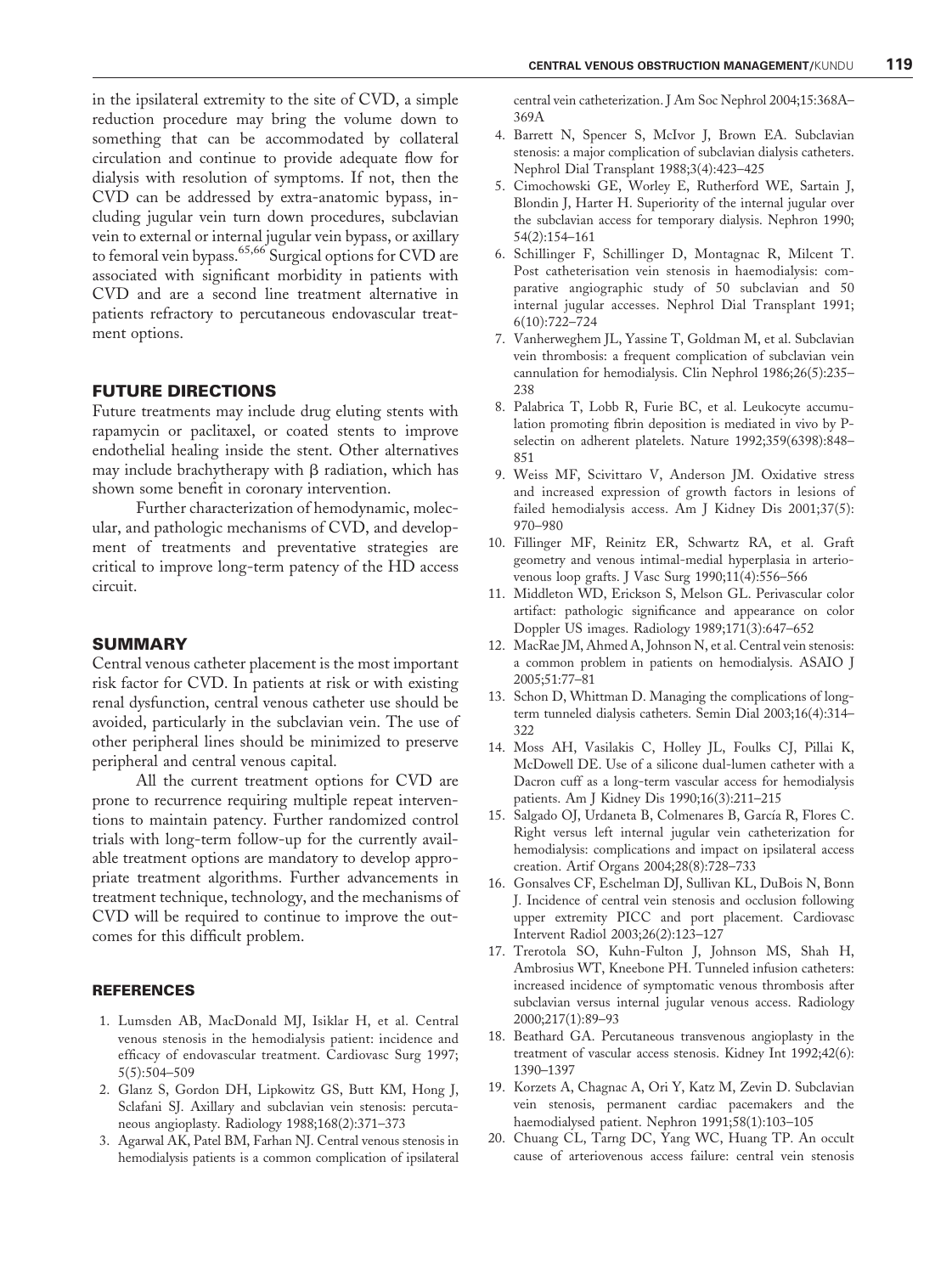in the ipsilateral extremity to the site of CVD, a simple reduction procedure may bring the volume down to something that can be accommodated by collateral circulation and continue to provide adequate flow for dialysis with resolution of symptoms. If not, then the CVD can be addressed by extra-anatomic bypass, including jugular vein turn down procedures, subclavian vein to external or internal jugular vein bypass, or axillary to femoral vein bypass.<sup>65,66</sup> Surgical options for CVD are associated with significant morbidity in patients with CVD and are a second line treatment alternative in patients refractory to percutaneous endovascular treatment options.

#### FUTURE DIRECTIONS

Future treatments may include drug eluting stents with rapamycin or paclitaxel, or coated stents to improve endothelial healing inside the stent. Other alternatives may include brachytherapy with  $\beta$  radiation, which has shown some benefit in coronary intervention.

Further characterization of hemodynamic, molecular, and pathologic mechanisms of CVD, and development of treatments and preventative strategies are critical to improve long-term patency of the HD access circuit.

## SUMMARY

Central venous catheter placement is the most important risk factor for CVD. In patients at risk or with existing renal dysfunction, central venous catheter use should be avoided, particularly in the subclavian vein. The use of other peripheral lines should be minimized to preserve peripheral and central venous capital.

All the current treatment options for CVD are prone to recurrence requiring multiple repeat interventions to maintain patency. Further randomized control trials with long-term follow-up for the currently available treatment options are mandatory to develop appropriate treatment algorithms. Further advancements in treatment technique, technology, and the mechanisms of CVD will be required to continue to improve the outcomes for this difficult problem.

#### REFERENCES

- 1. Lumsden AB, MacDonald MJ, Isiklar H, et al. Central venous stenosis in the hemodialysis patient: incidence and efficacy of endovascular treatment. Cardiovasc Surg 1997; 5(5):504–509
- 2. Glanz S, Gordon DH, Lipkowitz GS, Butt KM, Hong J, Sclafani SJ. Axillary and subclavian vein stenosis: percutaneous angioplasty. Radiology 1988;168(2):371–373
- 3. Agarwal AK, Patel BM, Farhan NJ. Central venous stenosis in hemodialysis patients is a common complication of ipsilateral

central vein catheterization. J Am Soc Nephrol 2004;15:368A– 369A

- 4. Barrett N, Spencer S, McIvor J, Brown EA. Subclavian stenosis: a major complication of subclavian dialysis catheters. Nephrol Dial Transplant 1988;3(4):423–425
- 5. Cimochowski GE, Worley E, Rutherford WE, Sartain J, Blondin J, Harter H. Superiority of the internal jugular over the subclavian access for temporary dialysis. Nephron 1990; 54(2):154–161
- 6. Schillinger F, Schillinger D, Montagnac R, Milcent T. Post catheterisation vein stenosis in haemodialysis: comparative angiographic study of 50 subclavian and 50 internal jugular accesses. Nephrol Dial Transplant 1991; 6(10):722–724
- 7. Vanherweghem JL, Yassine T, Goldman M, et al. Subclavian vein thrombosis: a frequent complication of subclavian vein cannulation for hemodialysis. Clin Nephrol 1986;26(5):235– 238
- 8. Palabrica T, Lobb R, Furie BC, et al. Leukocyte accumulation promoting fibrin deposition is mediated in vivo by Pselectin on adherent platelets. Nature 1992;359(6398):848– 851
- 9. Weiss MF, Scivittaro V, Anderson JM. Oxidative stress and increased expression of growth factors in lesions of failed hemodialysis access. Am J Kidney Dis 2001;37(5): 970–980
- 10. Fillinger MF, Reinitz ER, Schwartz RA, et al. Graft geometry and venous intimal-medial hyperplasia in arteriovenous loop grafts. J Vasc Surg 1990;11(4):556–566
- 11. Middleton WD, Erickson S, Melson GL. Perivascular color artifact: pathologic significance and appearance on color Doppler US images. Radiology 1989;171(3):647–652
- 12. MacRae JM, Ahmed A, Johnson N, et al. Central vein stenosis: a common problem in patients on hemodialysis. ASAIO J 2005;51:77–81
- 13. Schon D, Whittman D. Managing the complications of longterm tunneled dialysis catheters. Semin Dial 2003;16(4):314– 322
- 14. Moss AH, Vasilakis C, Holley JL, Foulks CJ, Pillai K, McDowell DE. Use of a silicone dual-lumen catheter with a Dacron cuff as a long-term vascular access for hemodialysis patients. Am J Kidney Dis 1990;16(3):211–215
- 15. Salgado OJ, Urdaneta B, Colmenares B, García R, Flores C. Right versus left internal jugular vein catheterization for hemodialysis: complications and impact on ipsilateral access creation. Artif Organs 2004;28(8):728–733
- 16. Gonsalves CF, Eschelman DJ, Sullivan KL, DuBois N, Bonn J. Incidence of central vein stenosis and occlusion following upper extremity PICC and port placement. Cardiovasc Intervent Radiol 2003;26(2):123–127
- 17. Trerotola SO, Kuhn-Fulton J, Johnson MS, Shah H, Ambrosius WT, Kneebone PH. Tunneled infusion catheters: increased incidence of symptomatic venous thrombosis after subclavian versus internal jugular venous access. Radiology 2000;217(1):89–93
- 18. Beathard GA. Percutaneous transvenous angioplasty in the treatment of vascular access stenosis. Kidney Int 1992;42(6): 1390–1397
- 19. Korzets A, Chagnac A, Ori Y, Katz M, Zevin D. Subclavian vein stenosis, permanent cardiac pacemakers and the haemodialysed patient. Nephron 1991;58(1):103–105
- 20. Chuang CL, Tarng DC, Yang WC, Huang TP. An occult cause of arteriovenous access failure: central vein stenosis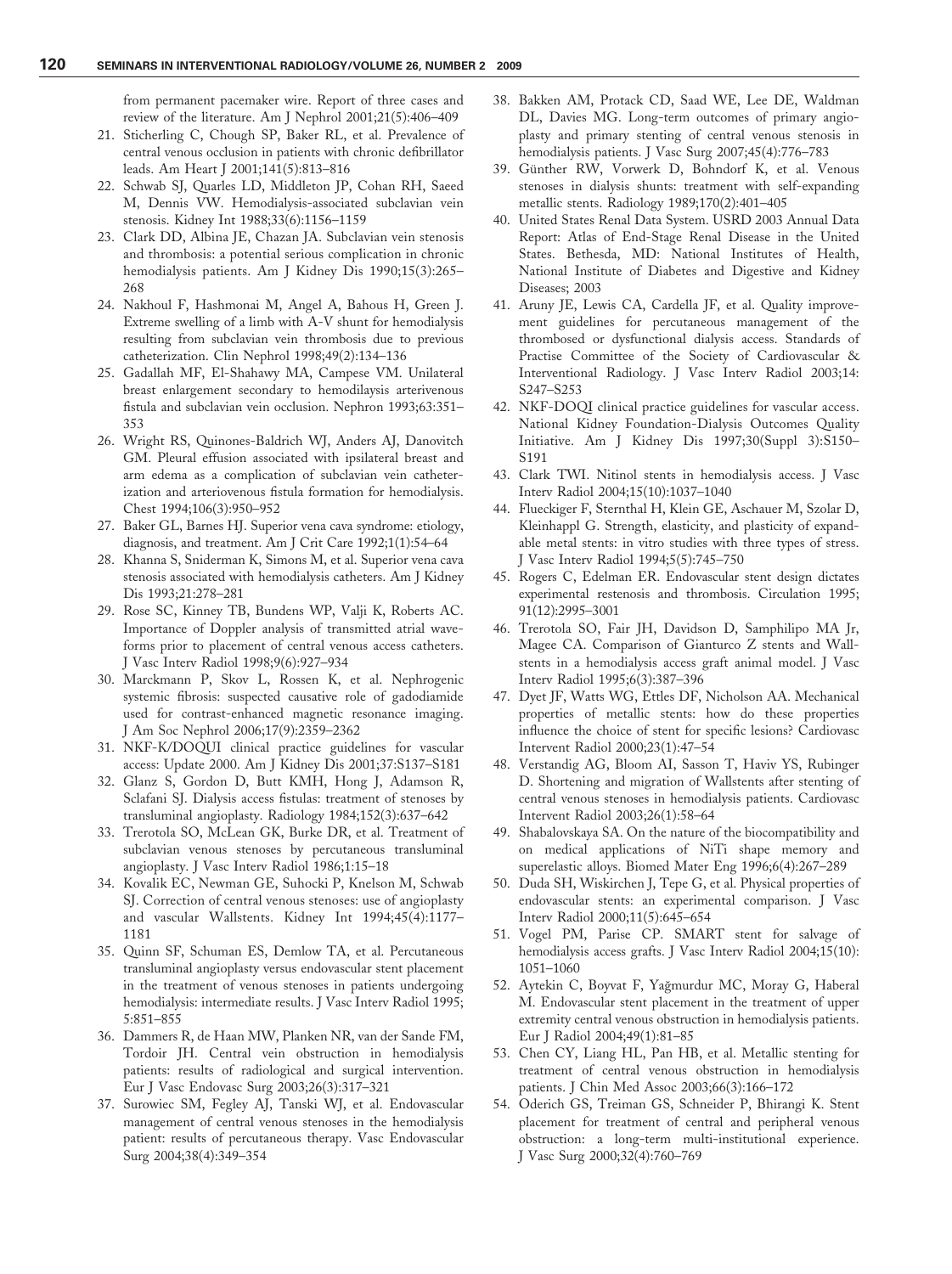from permanent pacemaker wire. Report of three cases and review of the literature. Am J Nephrol 2001;21(5):406–409

- 21. Sticherling C, Chough SP, Baker RL, et al. Prevalence of central venous occlusion in patients with chronic defibrillator leads. Am Heart J 2001;141(5):813–816
- 22. Schwab SJ, Quarles LD, Middleton JP, Cohan RH, Saeed M, Dennis VW. Hemodialysis-associated subclavian vein stenosis. Kidney Int 1988;33(6):1156–1159
- 23. Clark DD, Albina JE, Chazan JA. Subclavian vein stenosis and thrombosis: a potential serious complication in chronic hemodialysis patients. Am J Kidney Dis 1990;15(3):265– 268
- 24. Nakhoul F, Hashmonai M, Angel A, Bahous H, Green J. Extreme swelling of a limb with A-V shunt for hemodialysis resulting from subclavian vein thrombosis due to previous catheterization. Clin Nephrol 1998;49(2):134–136
- 25. Gadallah MF, El-Shahawy MA, Campese VM. Unilateral breast enlargement secondary to hemodilaysis arterivenous fistula and subclavian vein occlusion. Nephron 1993;63:351– 353
- 26. Wright RS, Quinones-Baldrich WJ, Anders AJ, Danovitch GM. Pleural effusion associated with ipsilateral breast and arm edema as a complication of subclavian vein catheterization and arteriovenous fistula formation for hemodialysis. Chest 1994;106(3):950–952
- 27. Baker GL, Barnes HJ. Superior vena cava syndrome: etiology, diagnosis, and treatment. Am J Crit Care 1992;1(1):54–64
- 28. Khanna S, Sniderman K, Simons M, et al. Superior vena cava stenosis associated with hemodialysis catheters. Am J Kidney Dis 1993;21:278–281
- 29. Rose SC, Kinney TB, Bundens WP, Valji K, Roberts AC. Importance of Doppler analysis of transmitted atrial waveforms prior to placement of central venous access catheters. J Vasc Interv Radiol 1998;9(6):927–934
- 30. Marckmann P, Skov L, Rossen K, et al. Nephrogenic systemic fibrosis: suspected causative role of gadodiamide used for contrast-enhanced magnetic resonance imaging. J Am Soc Nephrol 2006;17(9):2359–2362
- 31. NKF-K/DOQUI clinical practice guidelines for vascular access: Update 2000. Am J Kidney Dis 2001;37:S137–S181
- 32. Glanz S, Gordon D, Butt KMH, Hong J, Adamson R, Sclafani SJ. Dialysis access fistulas: treatment of stenoses by transluminal angioplasty. Radiology 1984;152(3):637–642
- 33. Trerotola SO, McLean GK, Burke DR, et al. Treatment of subclavian venous stenoses by percutaneous transluminal angioplasty. J Vasc Interv Radiol 1986;1:15–18
- 34. Kovalik EC, Newman GE, Suhocki P, Knelson M, Schwab SJ. Correction of central venous stenoses: use of angioplasty and vascular Wallstents. Kidney Int 1994;45(4):1177– 1181
- 35. Quinn SF, Schuman ES, Demlow TA, et al. Percutaneous transluminal angioplasty versus endovascular stent placement in the treatment of venous stenoses in patients undergoing hemodialysis: intermediate results. J Vasc Interv Radiol 1995; 5:851–855
- 36. Dammers R, de Haan MW, Planken NR, van der Sande FM, Tordoir JH. Central vein obstruction in hemodialysis patients: results of radiological and surgical intervention. Eur J Vasc Endovasc Surg 2003;26(3):317–321
- 37. Surowiec SM, Fegley AJ, Tanski WJ, et al. Endovascular management of central venous stenoses in the hemodialysis patient: results of percutaneous therapy. Vasc Endovascular Surg 2004;38(4):349–354
- 38. Bakken AM, Protack CD, Saad WE, Lee DE, Waldman DL, Davies MG. Long-term outcomes of primary angioplasty and primary stenting of central venous stenosis in hemodialysis patients. J Vasc Surg 2007;45(4):776-783
- 39. Günther RW, Vorwerk D, Bohndorf K, et al. Venous stenoses in dialysis shunts: treatment with self-expanding metallic stents. Radiology 1989;170(2):401–405
- 40. United States Renal Data System. USRD 2003 Annual Data Report: Atlas of End-Stage Renal Disease in the United States. Bethesda, MD: National Institutes of Health, National Institute of Diabetes and Digestive and Kidney Diseases; 2003
- 41. Aruny JE, Lewis CA, Cardella JF, et al. Quality improvement guidelines for percutaneous management of the thrombosed or dysfunctional dialysis access. Standards of Practise Committee of the Society of Cardiovascular & Interventional Radiology. J Vasc Interv Radiol 2003;14: S247–S253
- 42. NKF-DOQI clinical practice guidelines for vascular access. National Kidney Foundation-Dialysis Outcomes Quality Initiative. Am J Kidney Dis 1997;30(Suppl 3):S150– S191
- 43. Clark TWI. Nitinol stents in hemodialysis access. J Vasc Interv Radiol 2004;15(10):1037–1040
- 44. Flueckiger F, Sternthal H, Klein GE, Aschauer M, Szolar D, Kleinhappl G. Strength, elasticity, and plasticity of expandable metal stents: in vitro studies with three types of stress. J Vasc Interv Radiol 1994;5(5):745–750
- 45. Rogers C, Edelman ER. Endovascular stent design dictates experimental restenosis and thrombosis. Circulation 1995; 91(12):2995–3001
- 46. Trerotola SO, Fair JH, Davidson D, Samphilipo MA Jr, Magee CA. Comparison of Gianturco Z stents and Wallstents in a hemodialysis access graft animal model. J Vasc Interv Radiol 1995;6(3):387–396
- 47. Dyet JF, Watts WG, Ettles DF, Nicholson AA. Mechanical properties of metallic stents: how do these properties influence the choice of stent for specific lesions? Cardiovasc Intervent Radiol 2000;23(1):47–54
- 48. Verstandig AG, Bloom AI, Sasson T, Haviv YS, Rubinger D. Shortening and migration of Wallstents after stenting of central venous stenoses in hemodialysis patients. Cardiovasc Intervent Radiol 2003;26(1):58–64
- 49. Shabalovskaya SA. On the nature of the biocompatibility and on medical applications of NiTi shape memory and superelastic alloys. Biomed Mater Eng 1996;6(4):267–289
- 50. Duda SH, Wiskirchen J, Tepe G, et al. Physical properties of endovascular stents: an experimental comparison. J Vasc Interv Radiol 2000;11(5):645–654
- 51. Vogel PM, Parise CP. SMART stent for salvage of hemodialysis access grafts. J Vasc Interv Radiol 2004;15(10): 1051–1060
- 52. Aytekin C, Boyvat F, Yağmurdur MC, Moray G, Haberal M. Endovascular stent placement in the treatment of upper extremity central venous obstruction in hemodialysis patients. Eur J Radiol 2004;49(1):81–85
- 53. Chen CY, Liang HL, Pan HB, et al. Metallic stenting for treatment of central venous obstruction in hemodialysis patients. J Chin Med Assoc 2003;66(3):166–172
- 54. Oderich GS, Treiman GS, Schneider P, Bhirangi K. Stent placement for treatment of central and peripheral venous obstruction: a long-term multi-institutional experience. J Vasc Surg 2000;32(4):760–769